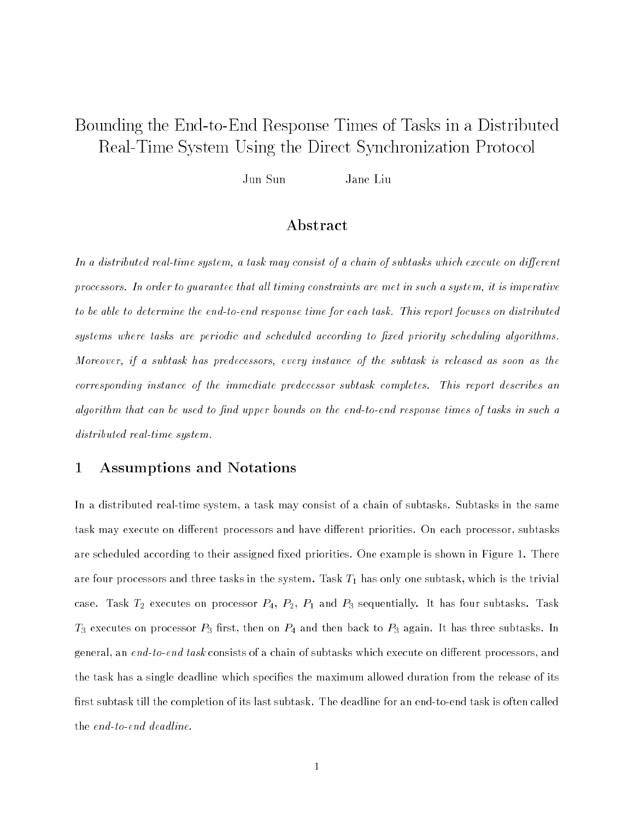# Bounding the End-to-End-to-End-to-End-to-End-to-End-to-End-to-End-to-End-to-End-to-End-to-End-to-End-to-End-to Real-Time System Using the Direct Synchronization Protocol

Jun Sun Jane Liu

### Abstract

In a distributed real-time system, a task may consist of a chain of subtasks which execute on different processors. In order to quarantee that all timing constraints are met in such a system, it is imperative to be able to determine the end-to-end response time for each task. This report focuses on distributed systems where tasks are periodic and scheduled according to fixed priority scheduling algorithms. Moreover, if a subtask has predecessors, every instance of the subtask is released as soon as the corresponding instance of the immediate predecessor subtask completes. This report describes an algorithm that can be used to find upper bounds on the end-to-end response times of tasks in such a distributed real-time system.

#### 1 Assumptions and Notations  $\mathbf{1}$

In a distributed real-time system, a task may consist of a chain of subtasks. Subtasks in the same task may execute on different processors and have different priorities. On each processor, subtasks are scheduled according to their assigned fixed priorities. One example is shown in Figure 1. There are four processors and three tasks in the system. Task  $T_1$  has only one subtask, which is the trivial case. Task  $T_2$  executes on processor  $P_4$ ,  $P_2$ ,  $P_1$  and  $P_3$  sequentially. It has four subtasks. Task  $T_3$  executes on processor  $P_3$  first, then on  $P_4$  and then back to  $P_3$  again. It has three subtasks. In general, an end-to-end task consists of a chain of subtasks which execute on different processors, and the task has a single deadline which specifies the maximum allowed duration from the release of its first subtask till the completion of its last subtask. The deadline for an end-to-end task is often called the end-to-end deadline.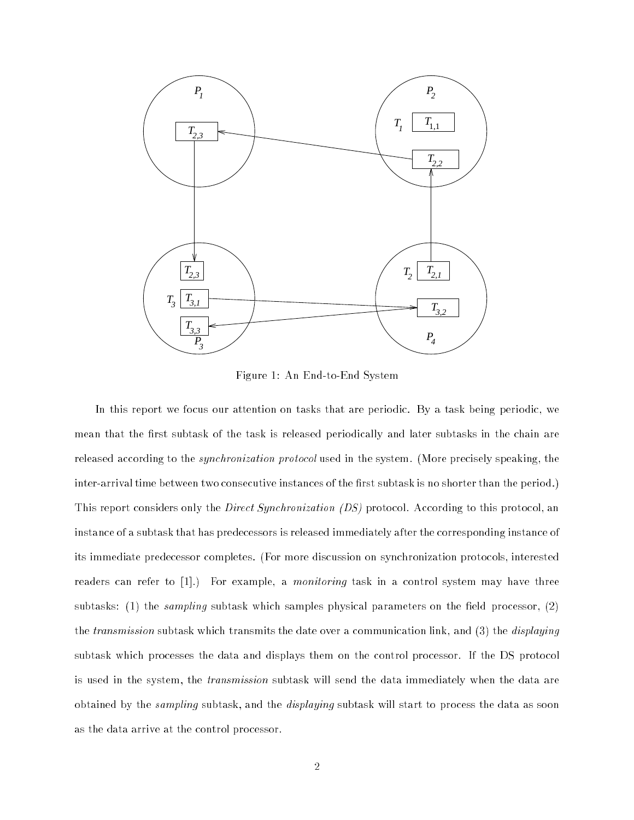

Figure 1: An End-to-End System

In this report we focus our attention on tasks that are periodic. By a task being periodic, we mean that the first subtask of the task is released periodically and later subtasks in the chain are released according to the *synchronization protocol* used in the system. (More precisely speaking, the inter-arrival time between two consecutive instances of the first subtask is no shorter than the period.) This report considers only the *Direct Synchronization (DS)* protocol. According to this protocol, an instance of a subtask that has predecessors is released immediately after the corresponding instance of its immediate predecessor completes. (For more discussion on synchronization protocols, interested readers can refer to [1].) For example, a *monitoring* task in a control system may have three subtasks: (1) the *sampling* subtask which samples physical parameters on the field processor, (2) the *transmission* subtask which transmits the date over a communication link, and (3) the *displaying* subtask which processes the data and displays them on the control processor. If the DS protocol is used in the system, the *transmission* subtask will send the data immediately when the data are obtained by the sampling subtask, and the displaying subtask will start to process the data as soon as the data arrive at the control processor.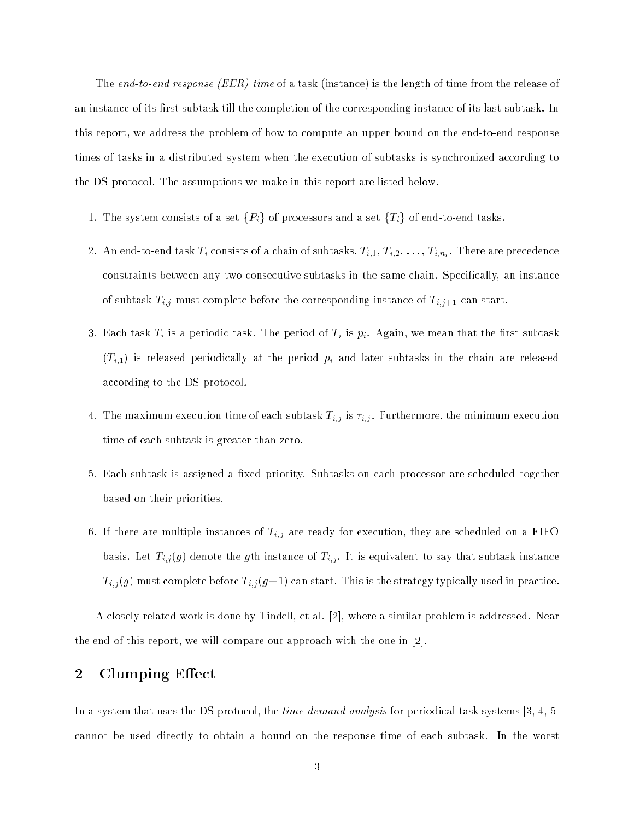The end-to-end response (EER) time of a task (instance) is the length of time from the release of an instance of its first subtask till the completion of the corresponding instance of its last subtask. In this report, we address the problem of how to compute an upper bound on the end-to-end response times of tasks in a distributed system when the execution of subtasks is synchronized according to the DS protocol. The assumptions we make in this report are listed below.

- 1. The system consists of a set  $\{P_i\}$  of processors and a set  $\{T_i\}$  of end-to-end tasks.
- 2. An end-to-end-task Time  $\frac{1}{\ell}$  , There are precedence are subtasting  $\frac{1}{\ell}$ ,  $\frac{1}{\ell}$  ,  $\frac{1}{\ell}$  ,  $\frac{1}{\ell}$  ,  $\frac{1}{\ell}$  ,  $\frac{1}{\ell}$  ,  $\frac{1}{\ell}$  ,  $\frac{1}{\ell}$  ,  $\frac{1}{\ell}$  ,  $\frac{1}{\ell}$  ,  $\frac{1}{\ell}$  ,  $\frac$ constraints between any two consecutive subtasks in the same chain. Specically, an instance of subtask  $T_{i,j}$  must complete before the corresponding instance of  $T_{i,j+1}$  can start.
- 3. Each task  $T_i$  is a periodic task. The period of  $T_i$  is  $p_i$ . Again, we mean that the first subtask  $\left( T_{i,1}\right)$  is released periodically at the period  $p_{i}$  and later subtasks in the chain are released according to the DS protocol.
- 4. The maximum execution time of each subtask  $T_{i,j}$  is  $\tau_{i,j}$ . Furthermore, the minimum execution time of each subtask is greater than zero.
- 5. Each subtask is assigned a fixed priority. Subtasks on each processor are scheduled together based on their priorities.
- 6. If there are multiple instances of  $T_{i,j}$  are ready for execution, they are scheduled on a FIFO basis. Let  $T_{i,j}(g)$  denote the  $g$ th instance of  $T_{i,j}$ . It is equivalent to say that subtask instance  $T_{i,j}(g)$  must complete before  $T_{i,j}(g+1)$  can start. This is the strategy typically used in practice.

A closely related work is done by Tindell, et al. [2], where a similar problem is addressed. Near the end of this report, we will compare our approach with the one in [2].

### 2 Clumping Effect

In a system that uses the DS protocol, the *time demand analysis* for periodical task systems [3, 4, 5] cannot be used directly to obtain a bound on the response time of each subtask. In the worst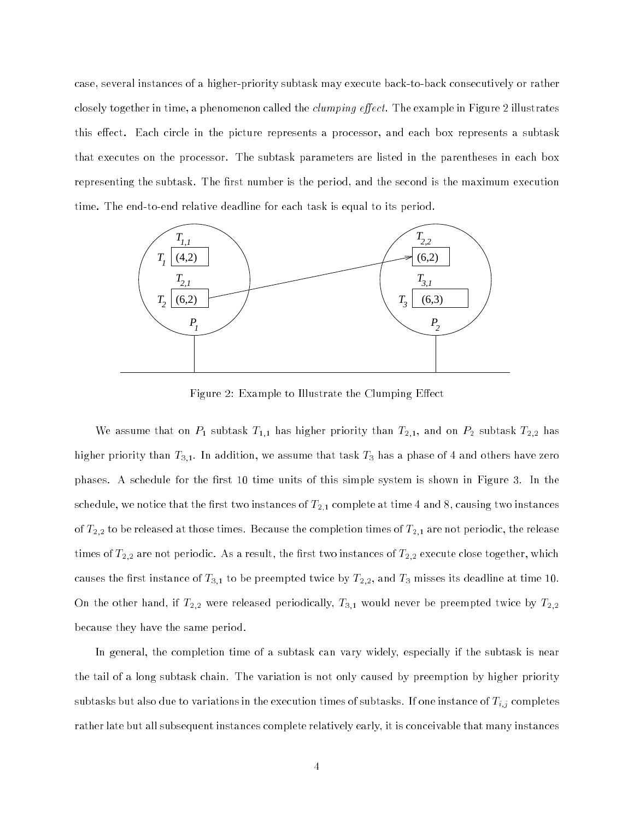case, several instances of a higher-priority subtask may execute back-to-back consecutively or rather closely together in time, a phenomenon called the *clumping effect*. The example in Figure 2 illustrates this effect. Each circle in the picture represents a processor, and each box represents a subtask that executes on the processor. The subtask parameters are listed in the parentheses in each box representing the subtask. The first number is the period, and the second is the maximum execution time. The end-to-end relative deadline for each task is equal to its period.



Figure 2: Example to Illustrate the Clumping Effect

We assume that on  $P_1$  subtask  $T_{1,1}$  has higher priority than  $T_{2,1}$ , and on  $P_2$  subtask  $T_{2,2}$  has higher priority than  $T_{3,1}.$  In addition, we assume that task  $T_3$  has a phase of 4 and others have zero phases. A schedule for the first 10 time units of this simple system is shown in Figure 3. In the schedule, we notice that the first two instances of  $T_{2,1}$  complete at time 4 and 8, causing two instances of  $T_{2,2}$  to be released at those times. Because the completion times of  $T_{2,1}$  are not periodic, the release times of  $T_{2,2}$  are not periodic. As a result, the first two instances of  $T_{2,2}$  execute close together, which causes the first instance of  $T_{3,1}$  to be preempted twice by  $T_{2,2}$ , and  $T_3$  misses its deadline at time 10. On the other hand, if  $T_{2,2}$  were released periodically,  $T_{3,1}$  would never be preempted twice by  $T_{2,2}$ because they have the same period.

In general, the completion time of a subtask can vary widely, especially if the subtask is near the tail of a long subtask chain. The variation is not only caused by preemption by higher priority subtasks but also due to variations in the execution times of subtasks. If one instance of  $T_{i,j}$  completes rather late but all subsequent instances complete relatively early, it is conceivable that many instances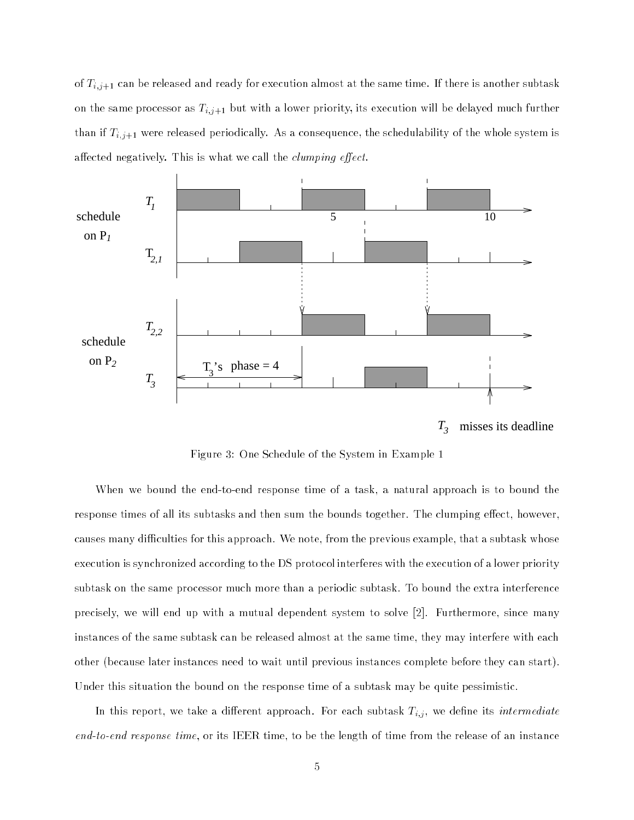of  $T_{i,j+1}$  can be released and ready for execution almost at the same time. If there is another subtask on the same processor as  $T_{i,j+1}$  but with a lower priority, its execution will be delayed much further than if  $T_{i,j+1}$  were released periodically. As a consequence, the schedulability of the whole system is affected negatively. This is what we call the *clumping effect*.



 $T_{3}$ misses its deadline

Figure 3: One Schedule of the System in Example 1

When we bound the end-to-end response time of a task, a natural approach is to bound the response times of all its subtasks and then sum the bounds together. The clumping effect, however, causes many difficulties for this approach. We note, from the previous example, that a subtask whose execution is synchronized according to the DS protocol interferes with the execution of a lower priority subtask on the same processor much more than a periodic subtask. To bound the extra interference precisely, we will end up with a mutual dependent system to solve [2]. Furthermore, since many instances of the same subtask can be released almost at the same time, they may interfere with each other (because later instances need to wait until previous instances complete before they can start). Under this situation the bound on the response time of a subtask may be quite pessimistic.

In this report, we take a different approach. For each subtask  $T_{i,j}$ , we define its *intermediate* end-to-end response time, or its IEER time, to be the length of time from the release of an instance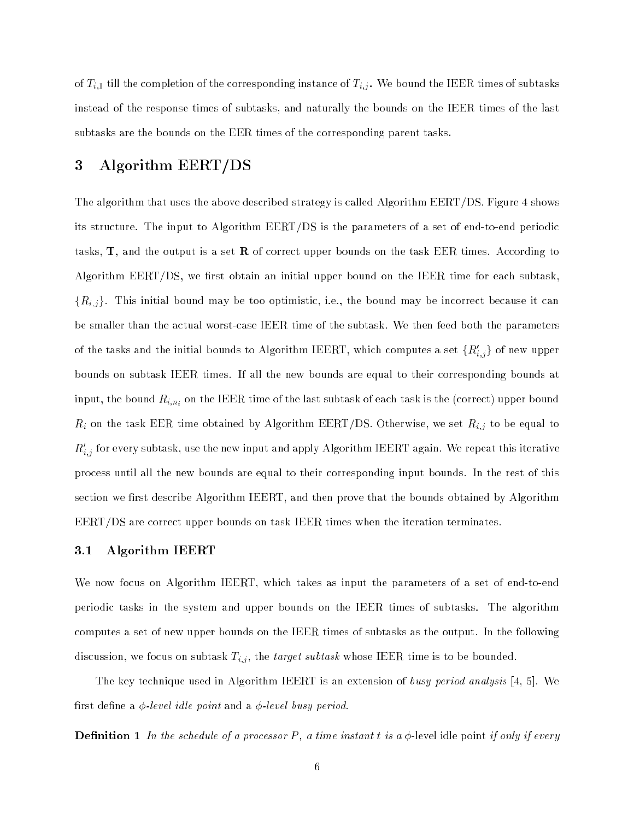of  $T_{i,1}$  till the completion of the corresponding instance of  $T_{i,j}$ . We bound the IEER times of subtasks instead of the response times of subtasks, and naturally the bounds on the IEER times of the last subtasks are the bounds on the EER times of the corresponding parent tasks.

## 3 Algorithm EERT/DS

The algorithm that uses the above described strategy is called Algorithm EERT/DS. Figure 4 shows its structure. The input to Algorithm EERT/DS is the parameters of a set of end-to-end periodic tasks,  $\mathbf{T}$ , and the output is a set **R** of correct upper bounds on the task EER times. According to Algorithm  $EERT/DS$ , we first obtain an initial upper bound on the IEER time for each subtask  ${R_{i,j}}$ . This initial bound may be too optimistic, i.e., the bound may be incorrect because it can be smaller than the actual worst-case IEER time of the subtask. We then feed both the parameters of the tasks and the initial bounds to Algorithm IEERT, which computes a set  $\{K_{i,j}\}$  of new upper bounds on subtask IEER times. If all the new bounds are equal to their corresponding bounds at input, the bound  $R_{i,n_i}$  on the IEER time of the last subtask of each task is the (correct) upper bound  $R_i$  on the task EER time obtained by Algorithm EERT/DS. Otherwise, we set  $R_{i,j}$  to be equal to  $\kappa_{i,j}$  for every subtask, use the new input and apply Algorithm IEERT again. We repeat this iterative process until all the new bounds are equal to their corresponding input bounds. In the rest of this section we first describe Algorithm IEERT, and then prove that the bounds obtained by Algorithm EERT/DS are correct upper bounds on task IEER times when the iteration terminates.

### 3.1 Algorithm IEERT

We now focus on Algorithm IEERT, which takes as input the parameters of a set of end-to-end periodic tasks in the system and upper bounds on the IEER times of subtasks. The algorithm computes a set of new upper bounds on the IEER times of subtasks as the output. In the following discussion, we focus on subtask  $T_{i,j}$ , the *target subtask* whose IEER time is to be bounded.

The key technique used in Algorithm IEERT is an extension of busy period analysis [4, 5]. We first define a  $\phi$ -level idle point and a  $\phi$ -level busy period.

**Definition 1** In the schedule of a processor P, a time instant t is a  $\phi$ -level idle point if only if every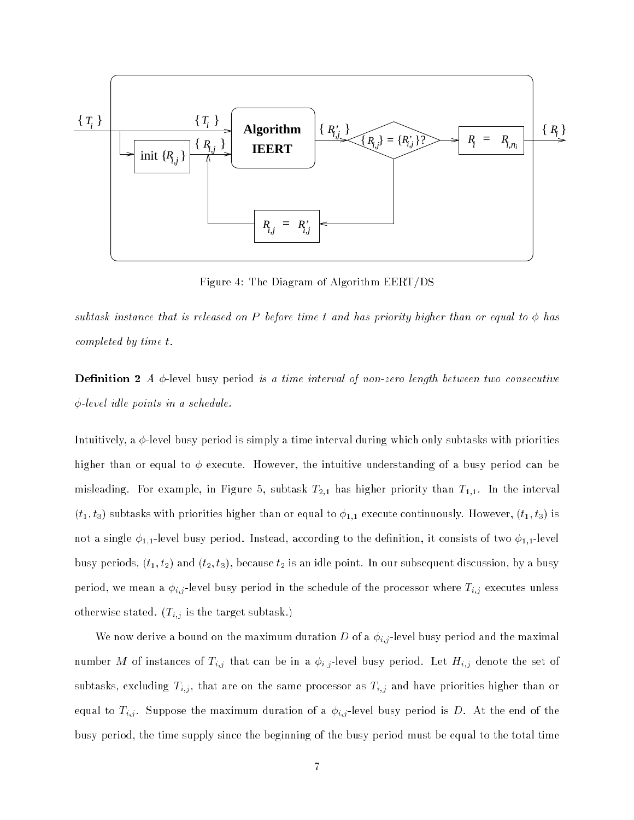

Figure 4: The Diagram of Algorithm EERT/DS

subtask instance that is released on P before time t and has priority higher than or equal to  $\phi$  has completed by time t.

**Definition 2** A  $\phi$ -level busy period is a time interval of non-zero length between two consecutive  $\phi$ -level idle points in a schedule.

Intuitively, a  $\phi$ -level busy period is simply a time interval during which only subtasks with priorities higher than or equal to  $\phi$  execute. However, the intuitive understanding of a busy period can be misleading. For example, in Figure 5, subtask  $T_{2,1}$  has higher priority than  $T_{1,1}$ . In the interval  $(t_1, t_3)$  subtasks with priorities higher than or equal to  $\phi_{1,1}$  execute continuously. However,  $(t_1, t_3)$  is not a single  $\phi_{1,1}$ -level busy period. Instead, according to the definition, it consists of two  $\phi_{1,1}$ -level busy periods,  $(t_1, t_2)$  and  $(t_2, t_3)$ , because  $t_2$  is an idle point. In our subsequent discussion, by a busy period, we mean a  $\phi_{i,j}$ -level busy period in the schedule of the processor where  $T_{i,j}$  executes unless otherwise stated.  $(T_{i,j}$  is the target subtask.)

We now derive a bound on the maximum duration D of a  $\phi_{i,j}$ -level busy period and the maximal number M of instances of  $T_{i,j}$  that can be in a  $\phi_{i,j}$ -level busy period. Let  $H_{i,j}$  denote the set of subtasks, excluding  $T_{i,j}$ , that are on the same processor as  $T_{i,j}$  and have priorities higher than or equal to  $T_{i,j}$ . Suppose the maximum duration of a  $\phi_{i,j}$ -level busy period is D. At the end of the busy period, the time supply since the beginning of the busy period must be equal to the total time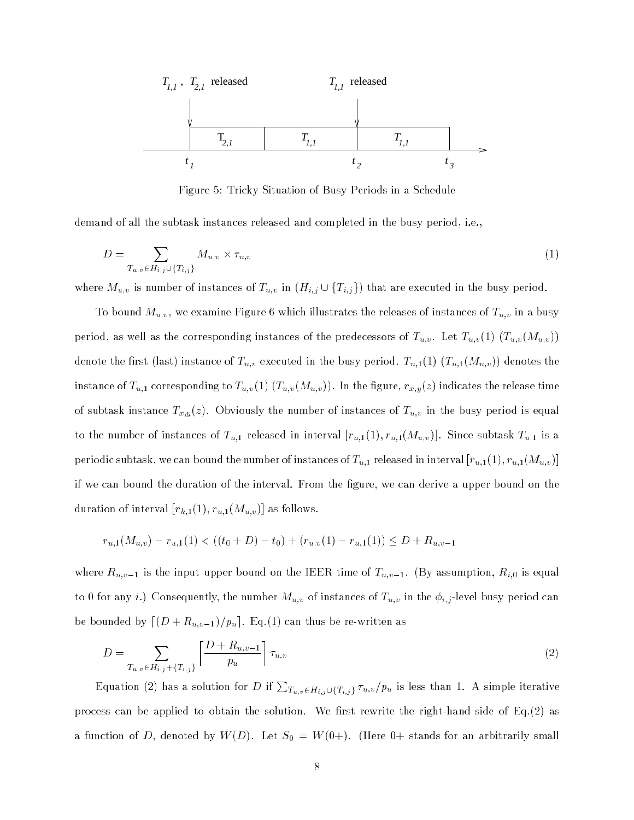

Figure 5: Tricky Situation of Busy Periods in a Schedule

demand of all the subtask instances released and completed in the busy period, i.e.,

$$
D = \sum_{T_{u,v} \in H_{i,j} \cup \{T_{i,j}\}} M_{u,v} \times \tau_{u,v}
$$
 (1)

where  $M_{u,v}$  is number of instances of  $T_{u,v}$  in  $(H_{i,j} \cup \{T_{i,j}\})$  that are executed in the busy period.

To bound  $M_{u,v},$  we examine Figure 6 which illustrates the releases of instances of  $T_{u,v}$  in a busy period, as well as the corresponding instances of the predecessors of  $T_{u,v}$ . Let  $T_{u,v}(1)$   $(T_{u,v}(M_{u,v}))$ denote the first (last) instance of  $T_{u,v}$  executed in the busy period.  $T_{u,1}(1)$   $(T_{u,1}(M_{u,v}))$  denotes the instance of  $T_{u,1}$  corresponding to  $T_{u,v}(1)$   $(T_{u,v}(M_{u,v}))$ . In the figure,  $r_{x,y}(z)$  indicates the release time of subtask instance  $T_{x,y}(z)$ . Obviously the number of instances of  $T_{u,v}$  in the busy period is equal to the number of instances of  $T_{u,1}$  released in interval  $[r_{u,1}(1), r_{u,1}(M_{u,v})]$ . Since subtask  $T_{u,1}$  is a periodic subtask, we can bound the number of instances of  $T_{u,1}$  released in interval  $[r_{u,1}(1), r_{u,1}(M_{u,v})]$ if we can bound the duration of the interval. From the gure, we can derive a upper bound on the duration of interval  $[r_{k,1}(1), r_{u,1}(M_{u,v})]$  as follows.

$$
r_{u,1}(M_{u,v}) - r_{u,1}(1) < ((t_0 + D) - t_0) + (r_{u,v}(1) - r_{u,1}(1)) \le D + R_{u,v-1}
$$

where  $R_{u,v-1}$  is the input upper bound on the IEER time of  $T_{u,v-1}$ . (By assumption,  $R_{i,0}$  is equal to 0 for any i.) Consequently, the number  $M_{u,v}$  of instances of  $T_{u,v}$  in the  $\phi_{i,j}$ -level busy period can be bounded by  $\lceil (D + R_{u,v-1})/p_u \rceil$ . Eq.(1) can thus be re-written as

$$
D = \sum_{T_{u,v} \in H_{i,j} + \{T_{i,j}\}} \left[ \frac{D + R_{u,v-1}}{p_u} \right] \tau_{u,v}
$$
\n(2)

Equation (2) has a solution for D if  $\sum_{T_u,v\in H_i} \sum_{j\in T_u,v}/p_u$  is less than 1. A simple iterative process can be applied to obtain the solution. We first rewrite the right-hand side of Eq.(2) as a function of D, denoted by  $W(D)$ . Let  $S_0 = W(0+)$ . (Here  $0+$  stands for an arbitrarily small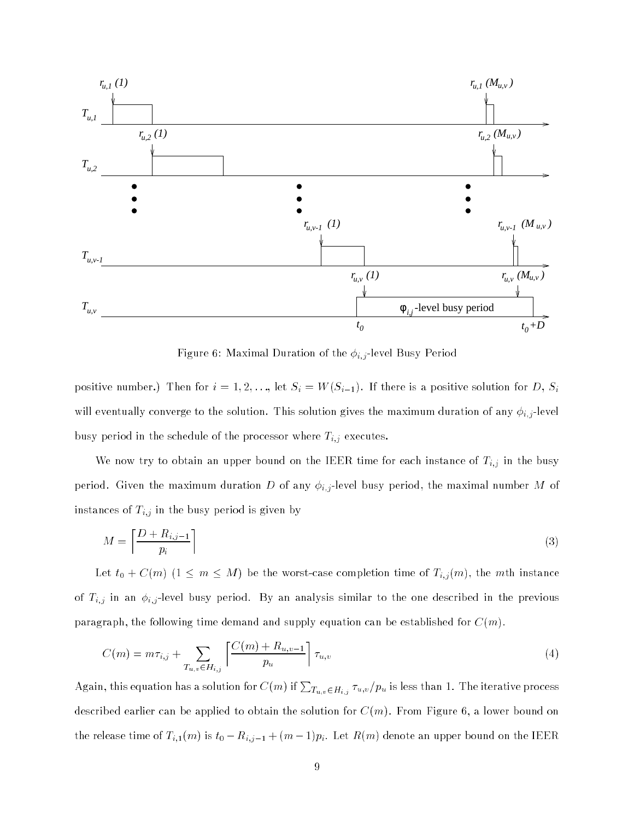

Figure 6: Maximal Duration of the  $\phi_{i,j}$ -level Busy Period

positive number.) Then for  $i = 1, 2, \ldots$ , let  $S_i = W(S_{i-1})$ . If there is a positive solution for D,  $S_i$ will eventually converge to the solution. This solution gives the maximum duration of any  $\phi_{i,j}$ -level busy period in the schedule of the processor where  $T_{i,j}$  executes.

We now try to obtain an upper bound on the IEER time for each instance of  $T_{i,j}$  in the busy period. Given the maximum duration D of any  $\phi_{i,j}$ -level busy period, the maximal number M of instances of  $T_{i,j}$  in the busy period is given by

$$
M = \left\lceil \frac{D + R_{i,j-1}}{p_i} \right\rceil \tag{3}
$$

Let  $t_0 + C(m)$   $(1 \leq m \leq M)$  be the worst-case completion time of  $T_{i,j}(m)$ , the mth instance of  $T_{i,j}$  in an  $\phi_{i,j}$ -level busy period. By an analysis similar to the one described in the previous paragraph, the following time demand and supply equation can be established for  $C(m)$ .

$$
C(m) = m\tau_{i,j} + \sum_{T_{u,v} \in H_{i,j}} \left[ \frac{C(m) + R_{u,v-1}}{p_u} \right] \tau_{u,v}
$$
\n(4)

Again, this equation has a solution for  $C(m)$  if  $\sum_{T_{u,v}\in H_{i,j}}\tau_{u,v}/p_u$  is less than 1. The iterative process described earlier can be applied to obtain the solution for  $C(m)$ . From Figure 6, a lower bound on the release time of  $T_{i,1}(m)$  is  $t_0 - R_{i,j-1} + (m-1)p_i$ . Let  $R(m)$  denote an upper bound on the IEER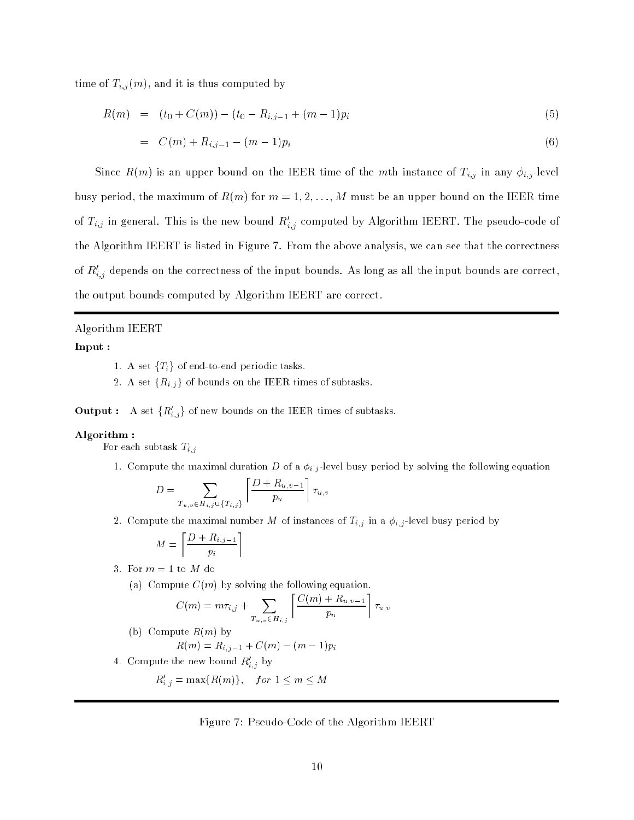time of  $T_{i,j}(m)$ , and it is thus computed by

$$
R(m) = (t_0 + C(m)) - (t_0 - R_{i,j-1} + (m-1)p_i)
$$
\n(5)

$$
= C(m) + R_{i,j-1} - (m-1)p_i \tag{6}
$$

Since  $R(m)$  is an upper bound on the IEER time of the mth instance of  $T_{i,j}$  in any  $\phi_{i,j}$ -level busy period, the maximum of  $R(m)$  for  $m = 1, 2, ..., M$  must be an upper bound on the IEER time of  $I_{i,j}$  in general. This is the new bound  $R_{i,j}$  computed by Algorithm IEERT. The pseudo-code of the Algorithm IEERT is listed in Figure 7. From the above analysis, we can see that the correctness of  $\bm{R}_{i,j}$  depends on the correctness of the input bounds. As long as all the input bounds are correct, the output bounds computed by Algorithm IEERT are correct.

#### Algorithm IEERT

#### Input :

1. A set  ${T<sub>i</sub>}$  of end-to-end periodic tasks.

2. A set  $\{R_{i,j}\}$  of bounds on the IEER times of subtasks.

**Output** : A set  $\{R_{i,j}\}$  of new bounds on the IEER times of subtasks.

#### Algorithm :

For each subtask  $T_{i,j}$ 

1. Compute the maximal duration D of a  $\phi_{i,j}$ -level busy period by solving the following equation

$$
D = \sum_{T_{u,v} \in H_{i,j} \cup \{T_{i,j}\}} \left[ \frac{D + R_{u,v-1}}{p_u} \right] \tau_{u,v}
$$

2. Compute the maximal number M of instances of  $T_{i,j}$  in a  $\phi_{i,j}$ -level busy period by

$$
M = \left\lceil \frac{D + R_{i,j-1}}{p_i} \right\rceil
$$

3. For 
$$
m = 1
$$
 to M do

(a) Compute  $C(m)$  by solving the following equation.

$$
C(m) = m\tau_{i,j} + \sum_{T_{u,v} \in H_{i,j}} \left[ \frac{C(m) + R_{u,v-1}}{p_u} \right] \tau_{u,v}
$$

- (b) Compute  $R(m)$  by  $R(m) = R_{i,j-1} + C(m) - (m-1)p_i$
- 4. Compute the new bound  $\mathfrak{n}_{i,j}$  by

$$
R'_{i,j} = \max\{R(m)\}, \quad for \ 1 \le m \le M
$$

#### Figure 7: Pseudo-Code of the Algorithm IEERT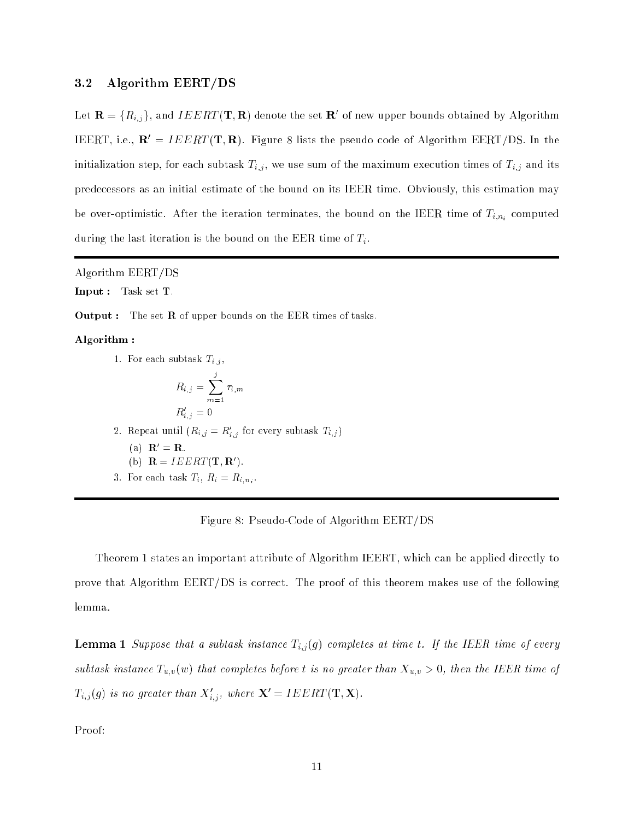### 3.2 Algorithm EERT/DS

Let  $\mathbf{R} = \{R_{i,j}\}\text{, and }IELRI\left(\mathbf{I},\mathbf{R}\right)$  denote the set  $\mathbf{R}_0$  of new upper bounds obtained by Algorithm IEERT, i.e.,  $\mathbf{R}' = IEERT(\mathbf{T}, \mathbf{R})$ . Figure 8 lists the pseudo code of Algorithm EERT/DS. In the initialization step, for each subtask  $T_{i,j}$ , we use sum of the maximum execution times of  $T_{i,j}$  and its predecessors as an initial estimate of the bound on its IEER time. Obviously, this estimation may be over-optimistic. After the iteration terminates, the bound on the IEER time of  $T_{i,n_i}$  computed during the last iteration is the bound on the EER time of  $T_i$ .

Algorithm EERT/DS

Input : Task set T.

Output : The set R of upper bounds on the EER times of tasks.

#### Algorithm :

1. For each subtask  $T_{i,j}$ ,

$$
R_{i,j} = \sum_{m=1}^{j} \tau_{i,m}
$$
  

$$
R'_{i,j} = 0
$$

2. Repeat until  $(n_{i,j} \equiv n_{i,j}$  for every subtask  $T_{i,j})$ 

(a)  $\mathbf{R}' = \mathbf{R}$ .

(b) 
$$
\mathbf{R} = I E E R T(\mathbf{T}, \mathbf{R}')
$$
.

 $3.5.$  For each task  $\frac{1}{2}$   $\frac{1}{2}$   $\frac{1}{2}$   $\frac{1}{2}$   $\frac{1}{2}$   $\frac{1}{2}$   $\frac{1}{2}$   $\frac{1}{2}$   $\frac{1}{2}$   $\frac{1}{2}$   $\frac{1}{2}$   $\frac{1}{2}$   $\frac{1}{2}$   $\frac{1}{2}$   $\frac{1}{2}$   $\frac{1}{2}$   $\frac{1}{2}$   $\frac{1}{2}$   $\frac{1}{2}$   $\frac{1}{2}$ 

#### Figure 8: Pseudo-Code of Algorithm EERT/DS

Theorem 1 states an important attribute of Algorithm IEERT, which can be applied directly to prove that Algorithm EERT/DS is correct. The proof of this theorem makes use of the following lemma.

**Lemma 1** Suppose that a subtask instance  $T_{i,j}(g)$  completes at time t. If the IEER time of every subtask instance  $T_{u,v}(w)$  that completes before t is no greater than  $X_{u,v} > 0$ , then the IEER time of  $\mathcal{I}_{i,j}(g)$  is no greater than  $\mathcal{A}_{i,j}$ , where  $\mathbf{X} = \mathbf{I} E E R \mathbf{I} (\mathbf{I}, \mathbf{X}).$ 

Proof: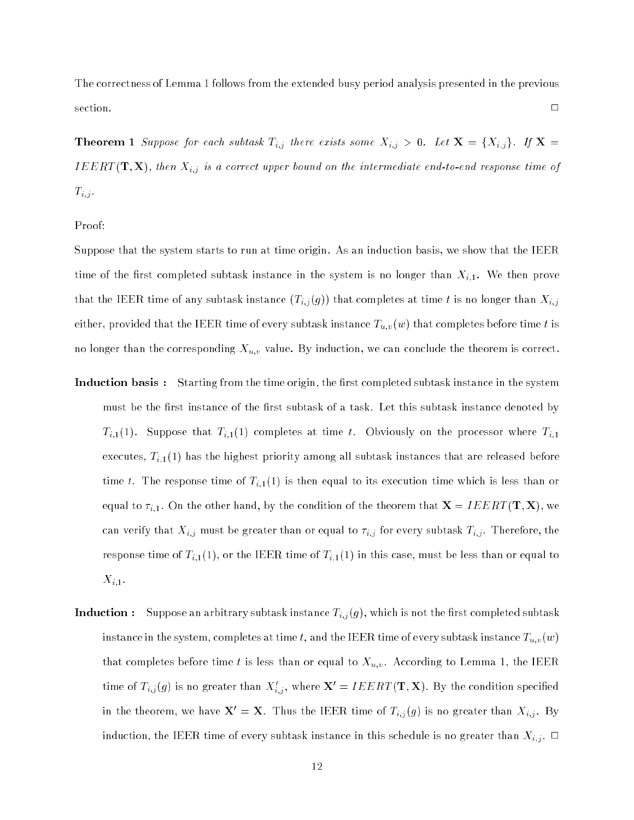The correctness of Lemma 1 follows from the extended busy period analysis presented in the previous  $\Box$ 

**Theorem 1** Suppose for each subtask  $T_{i,j}$  there exists some  $X_{i,j} > 0$ . Let  $X = \{X_{i,j}\}\$ . If  $X =$ IEERT (T; X), then Xi;j is a correct upper bound on the intermediate end-to-end response time of  $T_{i,j}$  .

Proof:

Suppose that the system starts to run at time origin. As an induction basis, we show that the IEER time of the first completed subtask instance in the system is no longer than  $X_{i,1}$ . We then prove that the IEER time of any subtask instance  $(T_{i,j}(g))$  that completes at time t is no longer than  $X_{i,j}$ either, provided that the IEER time of every subtask instance  $T_{u,v}(w)$  that completes before time t is no longer than the corresponding  $X_{u,v}$  value. By induction, we can conclude the theorem is correct.

- **Induction basis:** Starting from the time origin, the first completed subtask instance in the system must be the first instance of the first subtask of a task. Let this subtask instance denoted by  $T_{i,1}(1)$ . Suppose that  $T_{i,1}(1)$  completes at time t. Obviously on the processor where  $T_{i,1}$ executes,  $T_{i,1}(1)$  has the highest priority among all subtask instances that are released before time t. The response time of  $T_{i,1}(1)$  is then equal to its execution time which is less than or equal to  $\tau_{i,1}$ . On the other hand, by the condition of the theorem that  $\mathbf{X} = I E E R T(\mathbf{T}, \mathbf{X})$ , we can verify that  $X_{i,j}$  must be greater than or equal to  $\tau_{i,j}$  for every subtask  $T_{i,j}$ . Therefore, the response time of  $T_{i,1}(1)$ , or the IEER time of  $T_{i,1}(1)$  in this case, must be less than or equal to  $X_{i,1}$ .
- **Induction :** Suppose an arbitrary subtask instance  $T_{i,j}(g)$ , which is not the first completed subtask instance in the system, completes at time t, and the IEER time of every subtask instance  $T_{u,v}(w)$ that completes before time t is less than or equal to  $X_{u,v}$ . According to Lemma 1, the IEER time of  $T_{i,j}(g)$  is no greater than  $\Lambda_{i,j},$  where  $\boldsymbol{\Lambda}=IELRI(\boldsymbol{1},\boldsymbol{\Lambda}).$  By the condition specified in the theorem, we have  $X' = X$ . Thus the IEER time of  $T_{i,j} (g)$  is no greater than  $X_{i,j}$ . By induction, the IEER time of every subtask instance in this schedule is no greater than  $X_{i,j}$ .  $\Box$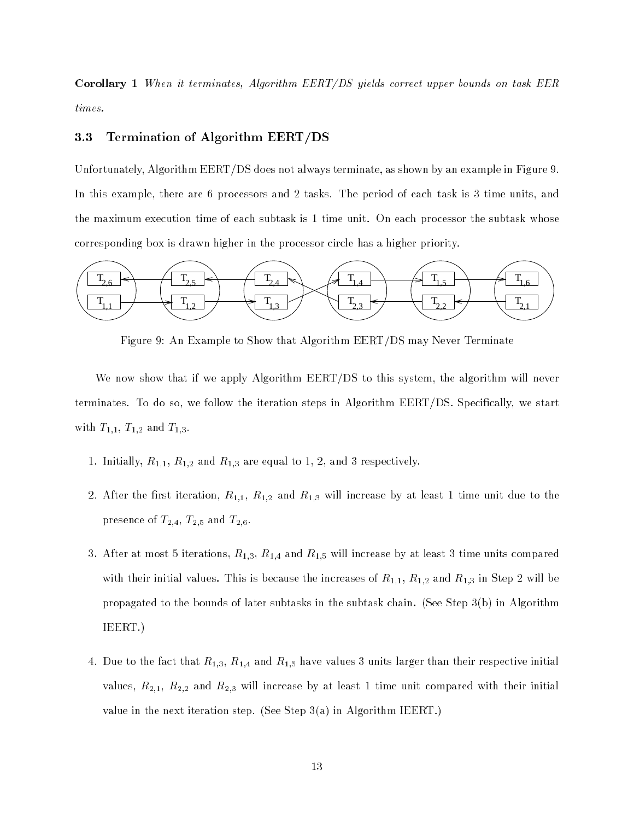Corollary <sup>1</sup> When it terminates, Algorithm EERT/DS yields correct upper bounds on task EER times.

### 3.3 Termination of Algorithm EERT/DS

Unfortunately, Algorithm EERT/DS does not always terminate, as shown by an example in Figure 9. In this example, there are 6 processors and 2 tasks. The period of each task is 3 time units, and the maximum execution time of each subtask is 1 time unit. On each processor the subtask whose corresponding box is drawn higher in the processor circle has a higher priority.



Figure 9: An Example to Show that Algorithm EERT/DS may Never Terminate

We now show that if we apply Algorithm EERT/DS to this system, the algorithm will never terminates. To do so, we follow the iteration steps in Algorithm EERT/DS. Specifically, we start with  $T_{1,1}$ ,  $T_{1,2}$  and  $T_{1,3}$ .

- 1. Initially,  $R_{1,1}$ ,  $R_{1,2}$  and  $R_{1,3}$  are equal to 1, 2, and 3 respectively.
- 2. After the first iteration,  $R_{1,1}$ ,  $R_{1,2}$  and  $R_{1,3}$  will increase by at least 1 time unit due to the presence of  $T_{2,4}$ ,  $T_{2,5}$  and  $T_{2,6}$ .
- 3. After at most 5 iterations,  $R_{1,3},\,R_{1,4}$  and  $R_{1,5}$  will increase by at least 3 time units compared with their initial values. This is because the increases of  $R_{1,1}$ ,  $R_{1,2}$  and  $R_{1,3}$  in Step 2 will be propagated to the bounds of later subtasks in the subtask chain. (See Step 3(b) in Algorithm IEERT.)
- 4. Due to the fact that  $R_{1,3}$ ,  $R_{1,4}$  and  $R_{1,5}$  have values 3 units larger than their respective initial values,  $R_{2,1}$ ,  $R_{2,2}$  and  $R_{2,3}$  will increase by at least 1 time unit compared with their initial value in the next iteration step. (See Step 3(a) in Algorithm IEERT.)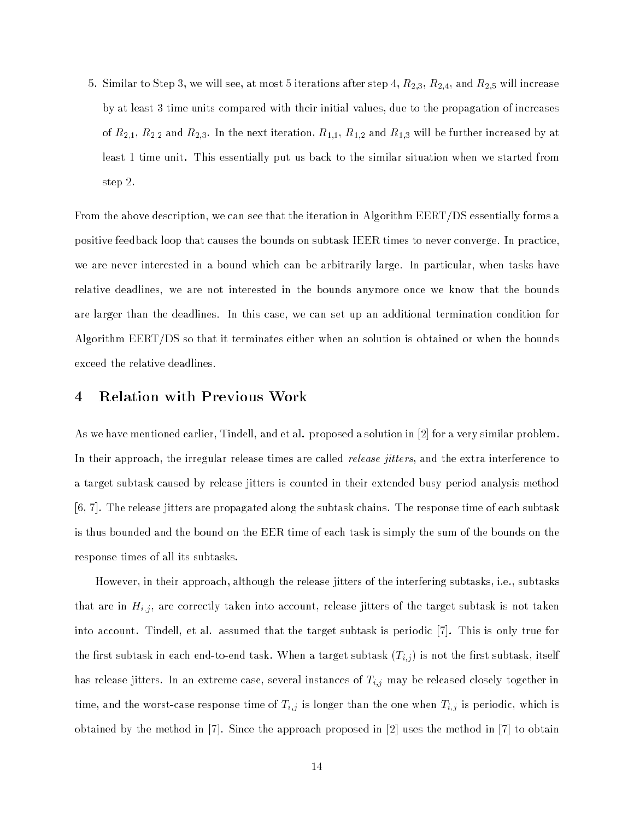5. Similar to Step 3, we will see, at most 5 iterations after step 4,  $R_{2,3},$   $R_{2,4},$  and  $R_{2,5}$  will increase by at least 3 time units compared with their initial values, due to the propagation of increases of  $R_{2,1}$ ,  $R_{2,2}$  and  $R_{2,3}$ . In the next iteration,  $R_{1,1}$ ,  $R_{1,2}$  and  $R_{1,3}$  will be further increased by at least 1 time unit. This essentially put us back to the similar situation when we started from step 2.

From the above description, we can see that the iteration in Algorithm EERT/DS essentially forms a positive feedback loop that causes the bounds on subtask IEER times to never converge. In practice, we are never interested in a bound which can be arbitrarily large. In particular, when tasks have relative deadlines, we are not interested in the bounds anymore once we know that the bounds are larger than the deadlines. In this case, we can set up an additional termination condition for Algorithm EERT/DS so that it terminates either when an solution is obtained or when the bounds exceed the relative deadlines.

### 4 Relation with Previous Work

As we have mentioned earlier, Tindell, and et al. proposed a solution in [2] for a very similar problem. In their approach, the irregular release times are called *release jitters*, and the extra interference to a target subtask caused by release jitters is counted in their extended busy period analysis method [6, 7]. The release jitters are propagated along the subtask chains. The response time of each subtask is thus bounded and the bound on the EER time of each task is simply the sum of the bounds on the response times of all its subtasks.

However, in their approach, although the release jitters of the interfering subtasks, i.e., subtasks that are in  $H_{i,j}$ , are correctly taken into account, release jitters of the target subtask is not taken into account. Tindell, et al. assumed that the target subtask is periodic [7]. This is only true for the first subtask in each end-to-end task. When a target subtask  $(T_{i,j})$  is not the first subtask, itself has release jitters. In an extreme case, several instances of  $T_{i,j}$  may be released closely together in time, and the worst-case response time of  $T_{i,j}$  is longer than the one when  $T_{i,j}$  is periodic, which is obtained by the method in [7]. Since the approach proposed in [2] uses the method in [7] to obtain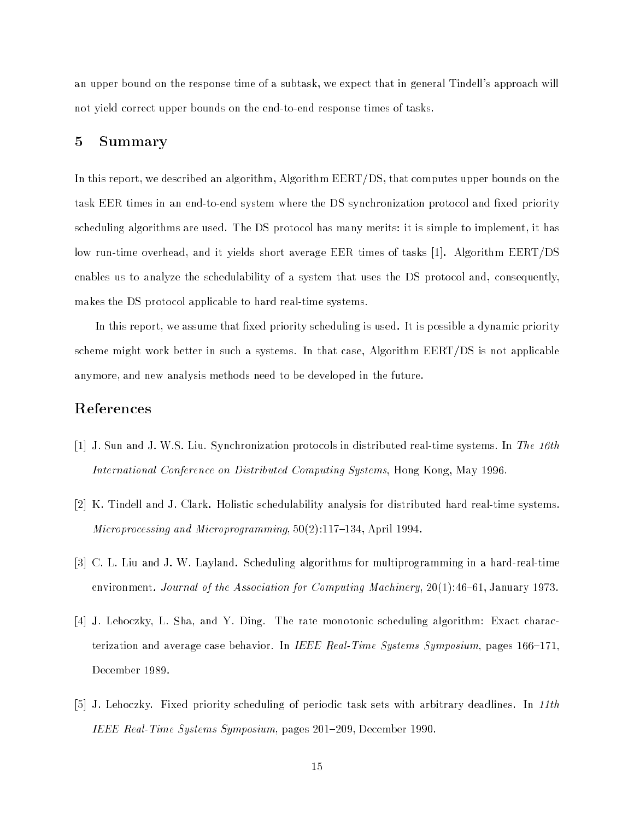an upper bound on the response time of a subtask, we expect that in general Tindell's approach will not yield correct upper bounds on the end-to-end response times of tasks.

### 5 Summary

In this report, we described an algorithm, Algorithm EERT/DS, that computes upper bounds on the task EER times in an end-to-end system where the DS synchronization protocol and fixed priority scheduling algorithms are used. The DS protocol has many merits: it is simple to implement, it has low run-time overhead, and it yields short average EER times of tasks [1]. Algorithm EERT/DS enables us to analyze the schedulability of a system that uses the DS protocol and, consequently, makes the DS protocol applicable to hard real-time systems.

In this report, we assume that fixed priority scheduling is used. It is possible a dynamic priority scheme might work better in such a systems. In that case, Algorithm EERT/DS is not applicable anymore, and new analysis methods need to be developed in the future.

### References

- [1] J. Sun and J. W.S. Liu. Synchronization protocols in distributed real-time systems. In The 16th International Conference on Distributed Computing Systems, Hong Kong, May 1996.
- [2] K. Tindell and J. Clark. Holistic schedulability analysis for distributed hard real-time systems. Microprocessing and Microprogramming,  $50(2):117{-}134$ , April 1994.
- [3] C. L. Liu and J. W. Layland. Scheduling algorithms for multiprogramming in a hard-real-time environment. Journal of the Association for Computing Machinery,  $20(1)$ :46-61, January 1973.
- [4] J. Lehoczky, L. Sha, and Y. Ding. The rate monotonic scheduling algorithm: Exact characterization and average case behavior. In IEEE Real-Time Systems Symposium, pages  $166{-}171$ , December 1989.
- [5] J. Lehoczky. Fixed priority scheduling of periodic task sets with arbitrary deadlines. In 11th IEEE Real-Time Systems Symposium, pages 201-209, December 1990.